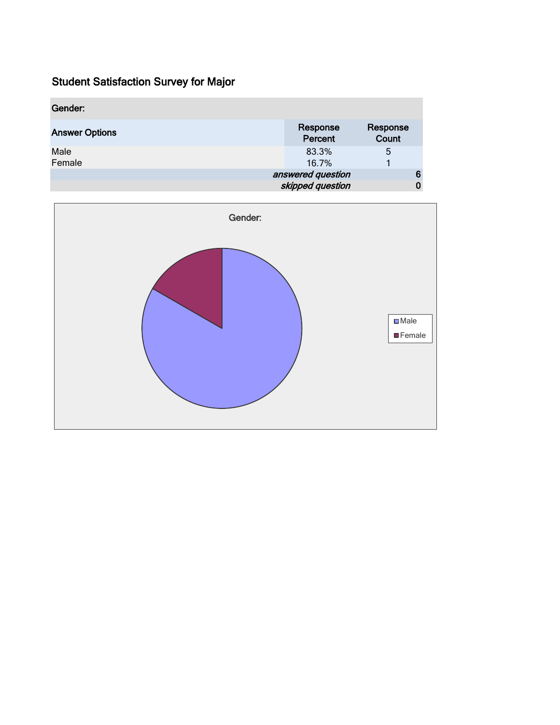| Gender:               |                                       |                   |
|-----------------------|---------------------------------------|-------------------|
| <b>Answer Options</b> | Response<br>Percent                   | Response<br>Count |
| Male<br>Female        | 83.3%<br>16.7%                        | 5                 |
|                       | answered question<br>skipped question | 6<br>0            |

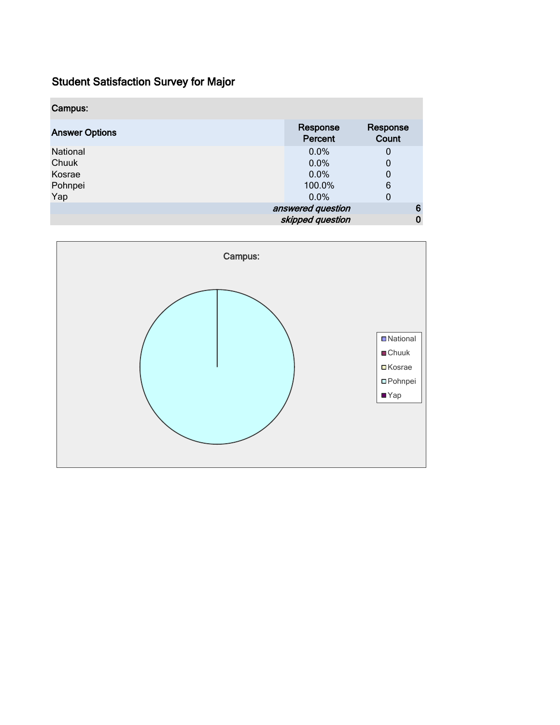| Campus:               |                     |                   |
|-----------------------|---------------------|-------------------|
| <b>Answer Options</b> | Response<br>Percent | Response<br>Count |
| National              | 0.0%                | 0                 |
| Chuuk                 | 0.0%                | 0                 |
| Kosrae                | 0.0%                | 0                 |
| Pohnpei               | 100.0%              | 6                 |
| Yap                   | $0.0\%$             | 0                 |
|                       | answered question   | 6                 |
|                       | skipped question    | 0                 |

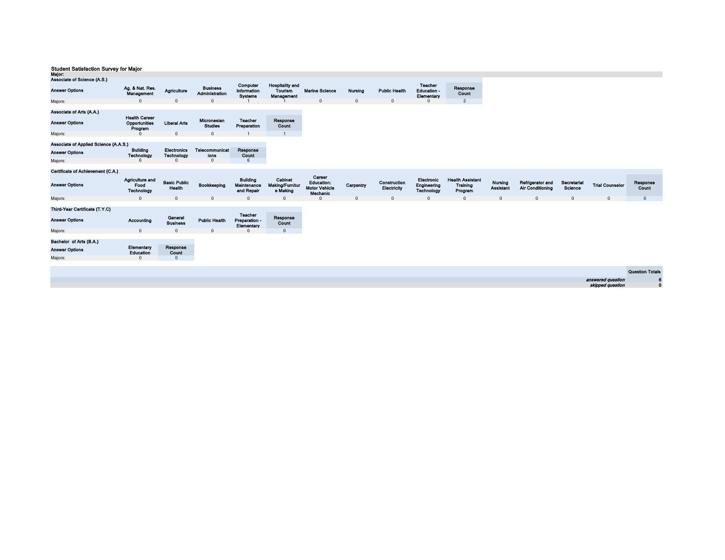| maju.                                                        |                                                  |                                         |                                           |                                               |                                                        |                                                          |                |                             |                                             |                                                |                             |                                      |                        |                        |                        |
|--------------------------------------------------------------|--------------------------------------------------|-----------------------------------------|-------------------------------------------|-----------------------------------------------|--------------------------------------------------------|----------------------------------------------------------|----------------|-----------------------------|---------------------------------------------|------------------------------------------------|-----------------------------|--------------------------------------|------------------------|------------------------|------------------------|
| Associate of Science (A.S.)                                  |                                                  |                                         |                                           |                                               |                                                        |                                                          |                |                             |                                             |                                                |                             |                                      |                        |                        |                        |
| <b>Answer Options</b>                                        | Ag. & Nat. Res.<br>Management                    | Agriculture                             | <b>Business</b><br>Administration         | Computer<br>Information<br><b>Systems</b>     | <b>Hospitality and</b><br><b>Tourism</b><br>Management | <b>Marine Science</b>                                    | <b>Nursing</b> | <b>Public Health</b>        | <b>Teacher</b><br>Education -<br>Elementary | Response<br>Count                              |                             |                                      |                        |                        |                        |
| Majors:                                                      | $\Omega$                                         | $\mathbf{0}$                            | $\Omega$                                  |                                               |                                                        | $\mathbf{0}$                                             | $\mathbf{0}$   | $\mathbf{0}$                | $\Omega$                                    | $\overline{2}$                                 |                             |                                      |                        |                        |                        |
| Associate of Arts (A.A.)<br><b>Answer Options</b><br>Majors: | <b>Health Career</b><br>Opportunities<br>Program | <b>Liberal Arts</b><br>$\Omega$         | Micronesian<br><b>Studies</b><br>$\Omega$ | <b>Teacher</b><br>Preparation                 | Response<br>Count<br>$\overline{1}$                    |                                                          |                |                             |                                             |                                                |                             |                                      |                        |                        |                        |
| Associate of Applied Science (A.A.S.)                        |                                                  |                                         |                                           |                                               |                                                        |                                                          |                |                             |                                             |                                                |                             |                                      |                        |                        |                        |
| <b>Answer Options</b>                                        | <b>Building</b><br>Technology                    | <b>Electronics</b><br><b>Technology</b> | Telecommunicat<br>ions                    | Response<br>Count                             |                                                        |                                                          |                |                             |                                             |                                                |                             |                                      |                        |                        |                        |
| Majors:                                                      | 6                                                | $\Omega$                                | $\mathbf{0}$                              | 6                                             |                                                        |                                                          |                |                             |                                             |                                                |                             |                                      |                        |                        |                        |
|                                                              |                                                  |                                         |                                           |                                               |                                                        |                                                          |                |                             |                                             |                                                |                             |                                      |                        |                        |                        |
| Certificate of Achievement (C.A.)                            |                                                  |                                         |                                           |                                               |                                                        |                                                          |                |                             |                                             |                                                |                             |                                      |                        |                        |                        |
| <b>Answer Options</b>                                        | Agriculture and<br>Food<br>Technology            | <b>Basic Public</b><br>Health           | Bookkeeping                               | <b>Building</b><br>Maintenance<br>and Repair  | Cabinet<br>Making/Furnitur<br>e Making                 | Career<br>Education:<br><b>Motor Vehicle</b><br>Mechanic | Carpentry      | Construction<br>Electricity | Electronic<br>Engineering<br>Technology     | <b>Health Assistant</b><br>Training<br>Program | Nursing<br><b>Assistant</b> | Refrigerator and<br>Air Conditioning | Secretarial<br>Science | <b>Trial Counselor</b> | Response<br>Count      |
| Majors:                                                      | $\Omega$                                         | $\mathbf 0$                             | $\mathbf{0}$                              | $\mathbf{0}$                                  | $\mathbf{0}$                                           | $\Omega$                                                 | $\mathbf 0$    | $\mathbf{0}$                | $\mathbf 0$                                 | $\mathbf 0$                                    | $\mathbf{0}$                | $\mathbf 0$                          | $\mathbf 0$            | $\mathbf{0}$           | $\mathbf{0}$           |
| Third-Year Certificate (T.Y.C)<br><b>Answer Options</b>      | Accounting                                       | Goneral<br><b>Business</b>              | <b>Public Health</b>                      | <b>Teacher</b><br>Preparation -<br>Elementary | Response<br>Count                                      |                                                          |                |                             |                                             |                                                |                             |                                      |                        |                        |                        |
| Majors:                                                      | $\mathbf{0}$                                     | $\Omega$                                | $\Omega$                                  | $\Omega$                                      | $\mathbf{0}$                                           |                                                          |                |                             |                                             |                                                |                             |                                      |                        |                        |                        |
| Bachelor of Arts (B.A.)<br><b>Answer Options</b><br>Majors:  | Elementary<br>Education<br>$\Omega$              | Response<br>Count<br>$\mathbf{0}$       |                                           |                                               |                                                        |                                                          |                |                             |                                             |                                                |                             |                                      |                        |                        |                        |
|                                                              |                                                  |                                         |                                           |                                               |                                                        |                                                          |                |                             |                                             |                                                |                             |                                      |                        |                        | <b>Question Totals</b> |
|                                                              |                                                  |                                         |                                           |                                               |                                                        |                                                          |                |                             |                                             |                                                |                             |                                      |                        |                        |                        |
|                                                              |                                                  |                                         |                                           |                                               |                                                        |                                                          |                |                             |                                             |                                                |                             |                                      |                        | answered question      | 0                      |
|                                                              |                                                  |                                         |                                           |                                               |                                                        |                                                          |                |                             |                                             |                                                |                             |                                      |                        | skipped question       | $\mathbf 0$            |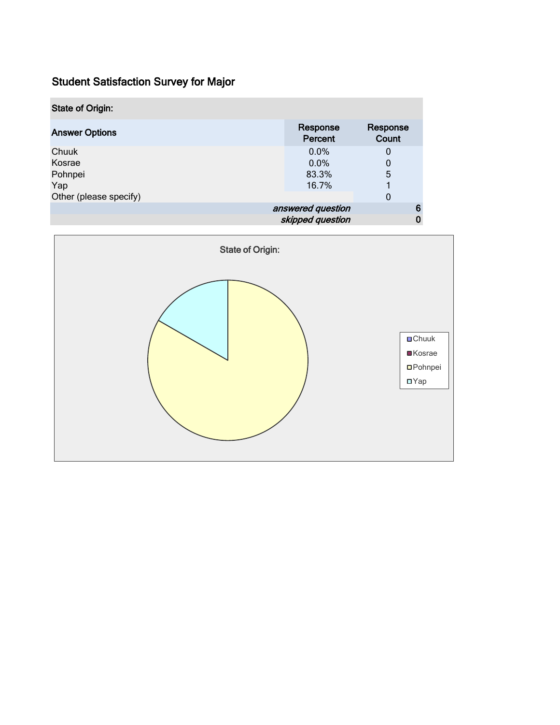| <b>State of Origin:</b> |                     |                   |
|-------------------------|---------------------|-------------------|
| <b>Answer Options</b>   | Response<br>Percent | Response<br>Count |
| Chuuk                   | $0.0\%$             | 0                 |
| Kosrae                  | 0.0%                | 0                 |
| Pohnpei                 | 83.3%               | 5                 |
| Yap                     | 16.7%               |                   |
| Other (please specify)  |                     | 0                 |
|                         | answered question   | 6                 |
|                         | skipped question    |                   |